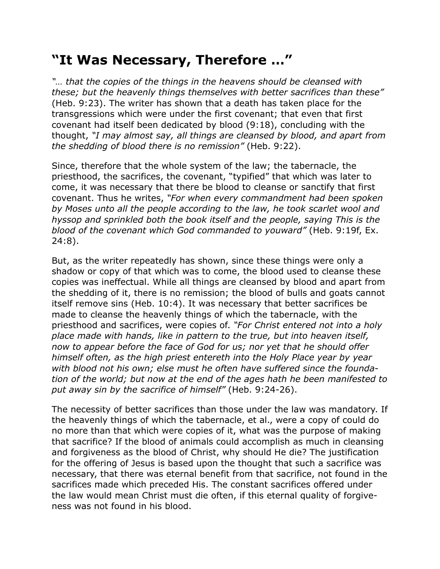## **"It Was Necessary, Therefore …"**

*"… that the copies of the things in the heavens should be cleansed with these; but the heavenly things themselves with better sacrifices than these"* (Heb. 9:23). The writer has shown that a death has taken place for the transgressions which were under the first covenant; that even that first covenant had itself been dedicated by blood (9:18), concluding with the thought, *"I may almost say, all things are cleansed by blood, and apart from the shedding of blood there is no remission"* (Heb. 9:22).

Since, therefore that the whole system of the law; the tabernacle, the priesthood, the sacrifices, the covenant, "typified" that which was later to come, it was necessary that there be blood to cleanse or sanctify that first covenant. Thus he writes, *"For when every commandment had been spoken by Moses unto all the people according to the law, he took scarlet wool and hyssop and sprinkled both the book itself and the people, saying This is the blood of the covenant which God commanded to youward"* (Heb. 9:19f, Ex. 24:8).

But, as the writer repeatedly has shown, since these things were only a shadow or copy of that which was to come, the blood used to cleanse these copies was ineffectual. While all things are cleansed by blood and apart from the shedding of it, there is no remission; the blood of bulls and goats cannot itself remove sins (Heb. 10:4). It was necessary that better sacrifices be made to cleanse the heavenly things of which the tabernacle, with the priesthood and sacrifices, were copies of. *"For Christ entered not into a holy place made with hands, like in pattern to the true, but into heaven itself, now to appear before the face of God for us; nor yet that he should offer himself often, as the high priest entereth into the Holy Place year by year with blood not his own; else must he often have suffered since the foundation of the world; but now at the end of the ages hath he been manifested to put away sin by the sacrifice of himself"* (Heb. 9:24-26).

The necessity of better sacrifices than those under the law was mandatory. If the heavenly things of which the tabernacle, et al., were a copy of could do no more than that which were copies of it, what was the purpose of making that sacrifice? If the blood of animals could accomplish as much in cleansing and forgiveness as the blood of Christ, why should He die? The justification for the offering of Jesus is based upon the thought that such a sacrifice was necessary, that there was eternal benefit from that sacrifice, not found in the sacrifices made which preceded His. The constant sacrifices offered under the law would mean Christ must die often, if this eternal quality of forgiveness was not found in his blood.